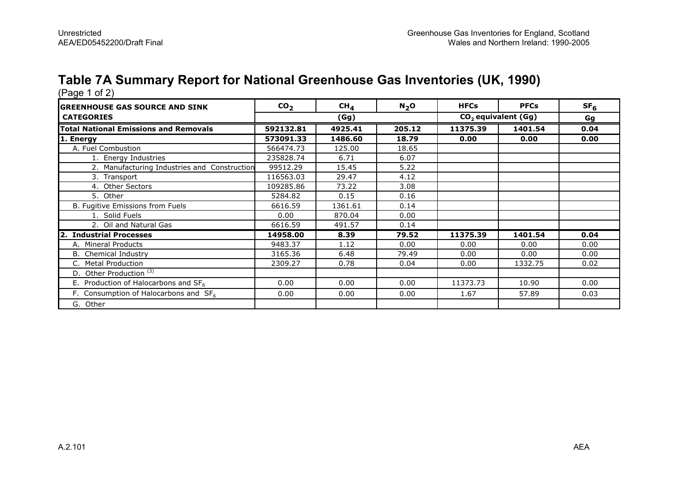# Table 7A Summary Report for National Greenhouse Gas Inventories (UK, 1990) (Page 1 of 2)

| <b>GREENHOUSE GAS SOURCE AND SINK</b>        | CO <sub>2</sub> | CH <sub>4</sub> | N <sub>2</sub> O | <b>HFCs</b>                     | <b>PFCs</b> | SF <sub>6</sub> |
|----------------------------------------------|-----------------|-----------------|------------------|---------------------------------|-------------|-----------------|
| <b>CATEGORIES</b>                            |                 | (Gg)            |                  | CO <sub>2</sub> equivalent (Gg) | Gg          |                 |
| <b>Total National Emissions and Removals</b> | 592132.81       | 4925.41         | 205.12           | 11375.39                        | 1401.54     | 0.04            |
| 1. Energy                                    | 573091.33       | 1486.60         | 18.79            | 0.00                            | 0.00        | 0.00            |
| A. Fuel Combustion                           | 566474.73       | 125.00          | 18.65            |                                 |             |                 |
| 1. Energy Industries                         | 235828.74       | 6.71            | 6.07             |                                 |             |                 |
| 2. Manufacturing Industries and Construction | 99512.29        | 15.45           | 5.22             |                                 |             |                 |
| 3. Transport                                 | 116563.03       | 29.47           | 4.12             |                                 |             |                 |
| 4. Other Sectors                             | 109285.86       | 73.22           | 3.08             |                                 |             |                 |
| 5. Other                                     | 5284.82         | 0.15            | 0.16             |                                 |             |                 |
| B. Fugitive Emissions from Fuels             | 6616.59         | 1361.61         | 0.14             |                                 |             |                 |
| 1. Solid Fuels                               | 0.00            | 870.04          | 0.00             |                                 |             |                 |
| 2. Oil and Natural Gas                       | 6616.59         | 491.57          | 0.14             |                                 |             |                 |
| 2. Industrial Processes                      | 14958.00        | 8.39            | 79.52            | 11375.39                        | 1401.54     | 0.04            |
| A. Mineral Products                          | 9483.37         | 1.12            | 0.00             | 0.00                            | 0.00        | 0.00            |
| B. Chemical Industry                         | 3165.36         | 6.48            | 79.49            | 0.00                            | 0.00        | 0.00            |
| C. Metal Production                          | 2309.27         | 0.78            | 0.04             | 0.00                            | 1332.75     | 0.02            |
| D. Other Production <sup>(3)</sup>           |                 |                 |                  |                                 |             |                 |
| E. Production of Halocarbons and $SF6$       | 0.00            | 0.00            | 0.00             | 11373.73                        | 10.90       | 0.00            |
| F. Consumption of Halocarbons and $SF6$      | 0.00            | 0.00            | 0.00             | 1.67                            | 57.89       | 0.03            |
| G. Other                                     |                 |                 |                  |                                 |             |                 |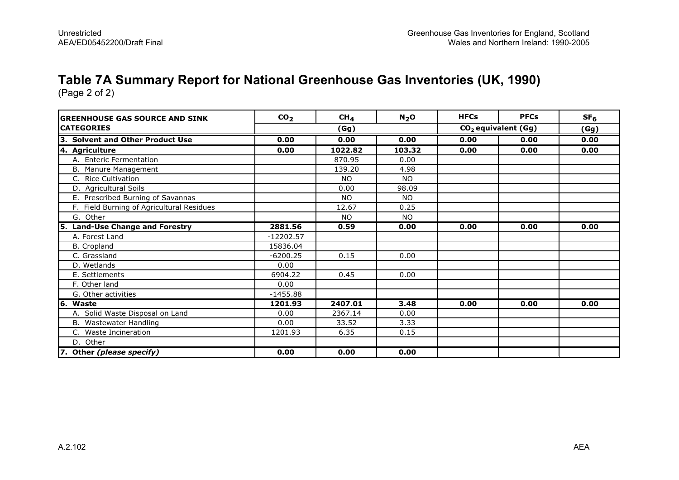#### Table 7A Summary Report for National Greenhouse Gas Inventories (UK, 1990)

(Page 2 of 2)

| <b>GREENHOUSE GAS SOURCE AND SINK</b>     | CO <sub>2</sub> | CH <sub>4</sub> | N <sub>2</sub> O | <b>HFCs</b> | <b>PFCs</b>                     | SF <sub>6</sub> |
|-------------------------------------------|-----------------|-----------------|------------------|-------------|---------------------------------|-----------------|
| <b>ICATEGORIES</b>                        |                 | (Gg)            |                  |             | CO <sub>2</sub> equivalent (Gg) | (Gg)            |
| 3. Solvent and Other Product Use          | 0.00            | 0.00            | 0.00             | 0.00        | 0.00                            | 0.00            |
| 4. Agriculture                            | 0.00            | 1022.82         | 103.32           | 0.00        | 0.00                            | 0.00            |
| A. Enteric Fermentation                   |                 | 870.95          | 0.00             |             |                                 |                 |
| B. Manure Management                      |                 | 139.20          | 4.98             |             |                                 |                 |
| C. Rice Cultivation                       |                 | <b>NO</b>       | <b>NO</b>        |             |                                 |                 |
| D. Agricultural Soils                     |                 | 0.00            | 98.09            |             |                                 |                 |
| E. Prescribed Burning of Savannas         |                 | <b>NO</b>       | <b>NO</b>        |             |                                 |                 |
| F. Field Burning of Agricultural Residues |                 | 12.67           | 0.25             |             |                                 |                 |
| G. Other                                  |                 | <b>NO</b>       | <b>NO</b>        |             |                                 |                 |
| 5. Land-Use Change and Forestry           | 2881.56         | 0.59            | 0.00             | 0.00        | 0.00                            | 0.00            |
| A. Forest Land                            | $-12202.57$     |                 |                  |             |                                 |                 |
| <b>B.</b> Cropland                        | 15836.04        |                 |                  |             |                                 |                 |
| C. Grassland                              | $-6200.25$      | 0.15            | 0.00             |             |                                 |                 |
| D. Wetlands                               | 0.00            |                 |                  |             |                                 |                 |
| E. Settlements                            | 6904.22         | 0.45            | 0.00             |             |                                 |                 |
| F. Other land                             | 0.00            |                 |                  |             |                                 |                 |
| G. Other activities                       | $-1455.88$      |                 |                  |             |                                 |                 |
| 6. Waste                                  | 1201.93         | 2407.01         | 3.48             | 0.00        | 0.00                            | 0.00            |
| A. Solid Waste Disposal on Land           | 0.00            | 2367.14         | 0.00             |             |                                 |                 |
| B. Wastewater Handling                    | 0.00            | 33.52           | 3.33             |             |                                 |                 |
| C. Waste Incineration                     | 1201.93         | 6.35            | 0.15             |             |                                 |                 |
| D. Other                                  |                 |                 |                  |             |                                 |                 |
| 7. Other (please specify)                 | 0.00            | 0.00            | 0.00             |             |                                 |                 |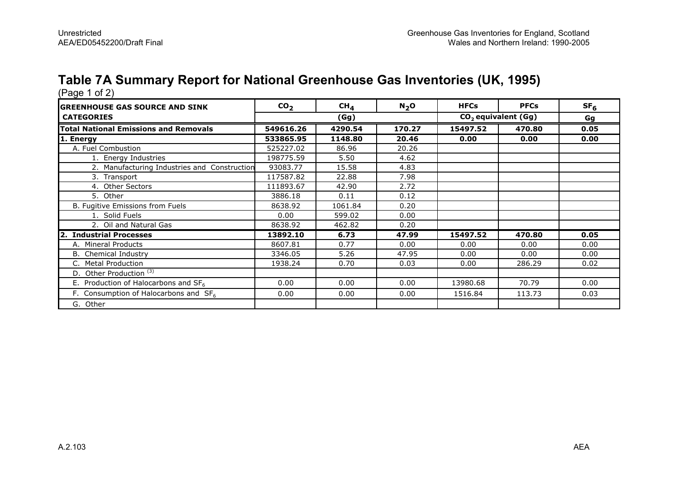# Table 7A Summary Report for National Greenhouse Gas Inventories (UK, 1995) (Page 1 of 2)

| <b>IGREENHOUSE GAS SOURCE AND SINK</b>       | CO <sub>2</sub> | CH <sub>4</sub> | N <sub>2</sub> O | <b>HFCs</b>           | <b>PFCs</b> | SF <sub>6</sub> |
|----------------------------------------------|-----------------|-----------------|------------------|-----------------------|-------------|-----------------|
| <b>CATEGORIES</b>                            |                 | (Gg)            |                  | $CO2$ equivalent (Gg) | Gg          |                 |
| <b>Total National Emissions and Removals</b> | 549616.26       | 4290.54         | 170.27           | 15497.52              | 470.80      | 0.05            |
| 1. Energy                                    | 533865.95       | 1148.80         | 20.46            | 0.00                  | 0.00        | 0.00            |
| A. Fuel Combustion                           | 525227.02       | 86.96           | 20.26            |                       |             |                 |
| 1. Energy Industries                         | 198775.59       | 5.50            | 4.62             |                       |             |                 |
| 2. Manufacturing Industries and Construction | 93083.77        | 15.58           | 4.83             |                       |             |                 |
| 3. Transport                                 | 117587.82       | 22.88           | 7.98             |                       |             |                 |
| 4. Other Sectors                             | 111893.67       | 42.90           | 2.72             |                       |             |                 |
| 5. Other                                     | 3886.18         | 0.11            | 0.12             |                       |             |                 |
| B. Fugitive Emissions from Fuels             | 8638.92         | 1061.84         | 0.20             |                       |             |                 |
| 1. Solid Fuels                               | 0.00            | 599.02          | 0.00             |                       |             |                 |
| 2. Oil and Natural Gas                       | 8638.92         | 462.82          | 0.20             |                       |             |                 |
| 2. Industrial Processes                      | 13892.10        | 6.73            | 47.99            | 15497.52              | 470.80      | 0.05            |
| A. Mineral Products                          | 8607.81         | 0.77            | 0.00             | 0.00                  | 0.00        | 0.00            |
| <b>B.</b> Chemical Industry                  | 3346.05         | 5.26            | 47.95            | 0.00                  | 0.00        | 0.00            |
| C. Metal Production                          | 1938.24         | 0.70            | 0.03             | 0.00                  | 286.29      | 0.02            |
| D. Other Production <sup>(3)</sup>           |                 |                 |                  |                       |             |                 |
| E. Production of Halocarbons and $SF6$       | 0.00            | 0.00            | 0.00             | 13980.68              | 70.79       | 0.00            |
| F. Consumption of Halocarbons and $SF6$      | 0.00            | 0.00            | 0.00             | 1516.84               | 113.73      | 0.03            |
| G. Other                                     |                 |                 |                  |                       |             |                 |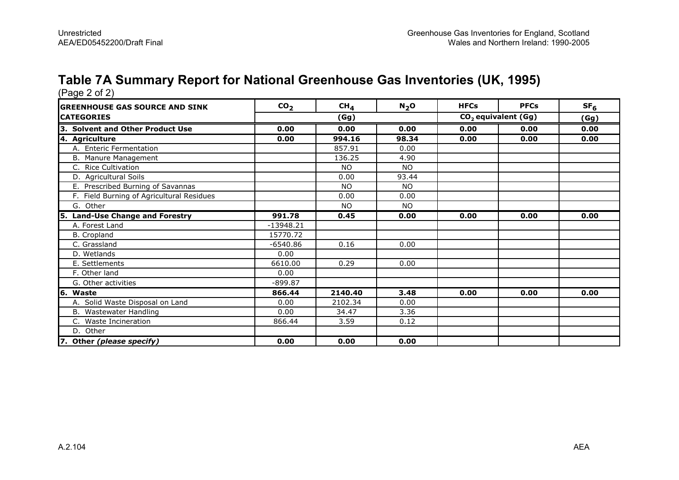#### Table 7A Summary Report for National Greenhouse Gas Inventories (UK, 1995)

| <b>lGREENHOUSE GAS SOURCE AND SINK</b>    | CO <sub>2</sub> | CH <sub>4</sub> | $N_2$ O   | <b>HFCs</b>                     | <b>PFCs</b> | SF <sub>6</sub> |
|-------------------------------------------|-----------------|-----------------|-----------|---------------------------------|-------------|-----------------|
| <b>CATEGORIES</b>                         | (Gg)            |                 |           | CO <sub>2</sub> equivalent (Gg) |             | (Gg)            |
| 3. Solvent and Other Product Use          | 0.00            | 0.00            | 0.00      | 0.00                            | 0.00        | 0.00            |
| 4. Agriculture                            | 0.00            | 994.16          | 98.34     | 0.00                            | 0.00        | 0.00            |
| A. Enteric Fermentation                   |                 | 857.91          | 0.00      |                                 |             |                 |
| B. Manure Management                      |                 | 136.25          | 4.90      |                                 |             |                 |
| C. Rice Cultivation                       |                 | <b>NO</b>       | <b>NO</b> |                                 |             |                 |
| D. Agricultural Soils                     |                 | 0.00            | 93.44     |                                 |             |                 |
| E. Prescribed Burning of Savannas         |                 | <b>NO</b>       | <b>NO</b> |                                 |             |                 |
| F. Field Burning of Agricultural Residues |                 | 0.00            | 0.00      |                                 |             |                 |
| G. Other                                  |                 | <b>NO</b>       | <b>NO</b> |                                 |             |                 |
| 5. Land-Use Change and Forestry           | 991.78          | 0.45            | 0.00      | 0.00                            | 0.00        | 0.00            |
| A. Forest Land                            | $-13948.21$     |                 |           |                                 |             |                 |
| B. Cropland                               | 15770.72        |                 |           |                                 |             |                 |
| C. Grassland                              | $-6540.86$      | 0.16            | 0.00      |                                 |             |                 |
| D. Wetlands                               | 0.00            |                 |           |                                 |             |                 |
| E. Settlements                            | 6610.00         | 0.29            | 0.00      |                                 |             |                 |
| F. Other land                             | 0.00            |                 |           |                                 |             |                 |
| G. Other activities                       | $-899.87$       |                 |           |                                 |             |                 |
| 6. Waste                                  | 866.44          | 2140.40         | 3.48      | 0.00                            | 0.00        | 0.00            |
| A. Solid Waste Disposal on Land           | 0.00            | 2102.34         | 0.00      |                                 |             |                 |
| B. Wastewater Handling                    | 0.00            | 34.47           | 3.36      |                                 |             |                 |
| <b>Waste Incineration</b><br>C.           | 866.44          | 3.59            | 0.12      |                                 |             |                 |
| D. Other                                  |                 |                 |           |                                 |             |                 |
| 7. Other (please specify)                 | 0.00            | 0.00            | 0.00      |                                 |             |                 |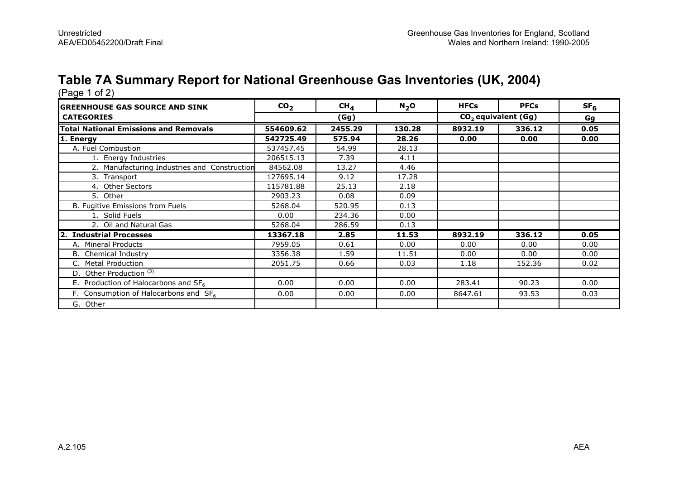# Table 7A Summary Report for National Greenhouse Gas Inventories (UK, 2004) (Page 1 of 2)

| <b>GREENHOUSE GAS SOURCE AND SINK</b>        | CO <sub>2</sub> | $CH_{4}$ | N <sub>2</sub> O | <b>HFCs</b>           | <b>PFCs</b> | SF <sub>6</sub> |  |
|----------------------------------------------|-----------------|----------|------------------|-----------------------|-------------|-----------------|--|
| <b>CATEGORIES</b>                            | (Gg)            |          |                  | $CO2$ equivalent (Gg) |             | Gg              |  |
| <b>Total National Emissions and Removals</b> | 554609.62       | 2455.29  | 130.28           | 8932.19               | 336.12      | 0.05            |  |
| 1. Energy                                    | 542725.49       | 575.94   | 28.26            | 0.00                  | 0.00        | 0.00            |  |
| A. Fuel Combustion                           | 537457.45       | 54.99    | 28.13            |                       |             |                 |  |
| 1. Energy Industries                         | 206515.13       | 7.39     | 4.11             |                       |             |                 |  |
| 2. Manufacturing Industries and Construction | 84562.08        | 13.27    | 4.46             |                       |             |                 |  |
| 3. Transport                                 | 127695.14       | 9.12     | 17.28            |                       |             |                 |  |
| 4. Other Sectors                             | 115781.88       | 25.13    | 2.18             |                       |             |                 |  |
| 5. Other                                     | 2903.23         | 0.08     | 0.09             |                       |             |                 |  |
| B. Fugitive Emissions from Fuels             | 5268.04         | 520.95   | 0.13             |                       |             |                 |  |
| 1. Solid Fuels                               | 0.00            | 234.36   | 0.00             |                       |             |                 |  |
| 2. Oil and Natural Gas                       | 5268.04         | 286.59   | 0.13             |                       |             |                 |  |
| 2. Industrial Processes                      | 13367.18        | 2.85     | 11.53            | 8932.19               | 336.12      | 0.05            |  |
| A. Mineral Products                          | 7959.05         | 0.61     | 0.00             | 0.00                  | 0.00        | 0.00            |  |
| B. Chemical Industry                         | 3356.38         | 1.59     | 11.51            | 0.00                  | 0.00        | 0.00            |  |
| C. Metal Production                          | 2051.75         | 0.66     | 0.03             | 1.18                  | 152.36      | 0.02            |  |
| D. Other Production <sup>(3)</sup>           |                 |          |                  |                       |             |                 |  |
| E. Production of Halocarbons and $SF6$       | 0.00            | 0.00     | 0.00             | 283.41                | 90.23       | 0.00            |  |
| F. Consumption of Halocarbons and $SF6$      | 0.00            | 0.00     | 0.00             | 8647.61               | 93.53       | 0.03            |  |
| G. Other                                     |                 |          |                  |                       |             |                 |  |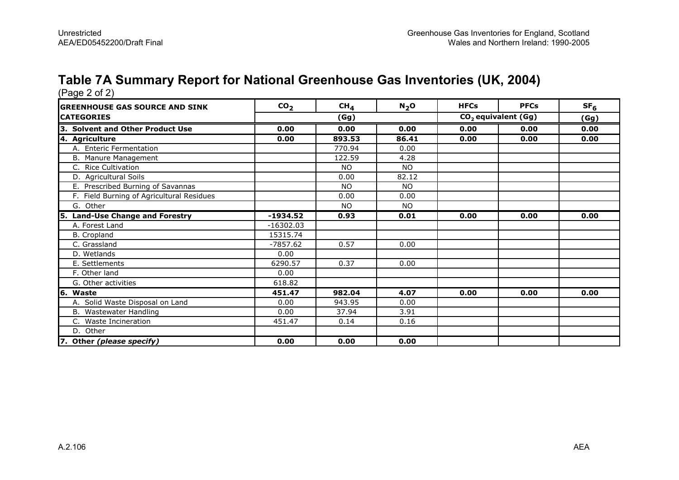#### Table 7A Summary Report for National Greenhouse Gas Inventories (UK, 2004)

| <b>GREENHOUSE GAS SOURCE AND SINK</b>     | CO <sub>2</sub> | CH <sub>4</sub> | $N_2$ O   | <b>HFCs</b>                     | <b>PFCs</b> | SF <sub>6</sub> |
|-------------------------------------------|-----------------|-----------------|-----------|---------------------------------|-------------|-----------------|
| <b>CATEGORIES</b>                         | (Gg)            |                 |           | CO <sub>2</sub> equivalent (Gg) |             | (Gg)            |
| 3. Solvent and Other Product Use          | 0.00            | 0.00            | 0.00      | 0.00                            | 0.00        | 0.00            |
| 4. Agriculture                            | 0.00            | 893.53          | 86.41     | 0.00                            | 0.00        | 0.00            |
| A. Enteric Fermentation                   |                 | 770.94          | 0.00      |                                 |             |                 |
| B. Manure Management                      |                 | 122.59          | 4.28      |                                 |             |                 |
| C. Rice Cultivation                       |                 | <b>NO</b>       | NO.       |                                 |             |                 |
| D. Agricultural Soils                     |                 | 0.00            | 82.12     |                                 |             |                 |
| E. Prescribed Burning of Savannas         |                 | <b>NO</b>       | <b>NO</b> |                                 |             |                 |
| F. Field Burning of Agricultural Residues |                 | 0.00            | 0.00      |                                 |             |                 |
| G. Other                                  |                 | <b>NO</b>       | NO.       |                                 |             |                 |
| 5. Land-Use Change and Forestry           | $-1934.52$      | 0.93            | 0.01      | 0.00                            | 0.00        | 0.00            |
| A. Forest Land                            | $-16302.03$     |                 |           |                                 |             |                 |
| <b>B.</b> Cropland                        | 15315.74        |                 |           |                                 |             |                 |
| C. Grassland                              | $-7857.62$      | 0.57            | 0.00      |                                 |             |                 |
| D. Wetlands                               | 0.00            |                 |           |                                 |             |                 |
| E. Settlements                            | 6290.57         | 0.37            | 0.00      |                                 |             |                 |
| F. Other land                             | 0.00            |                 |           |                                 |             |                 |
| G. Other activities                       | 618.82          |                 |           |                                 |             |                 |
| 6. Waste                                  | 451.47          | 982.04          | 4.07      | 0.00                            | 0.00        | 0.00            |
| A. Solid Waste Disposal on Land           | 0.00            | 943.95          | 0.00      |                                 |             |                 |
| B. Wastewater Handling                    | 0.00            | 37.94           | 3.91      |                                 |             |                 |
| <b>Waste Incineration</b><br>C.           | 451.47          | 0.14            | 0.16      |                                 |             |                 |
| D. Other                                  |                 |                 |           |                                 |             |                 |
| 7. Other (please specify)                 | 0.00            | 0.00            | 0.00      |                                 |             |                 |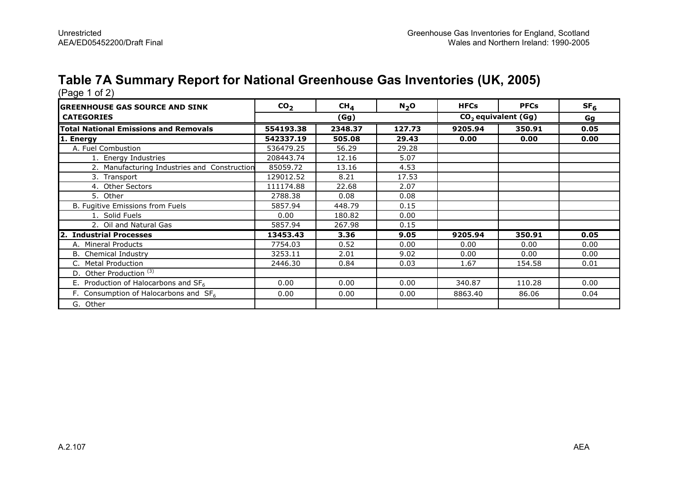# Table 7A Summary Report for National Greenhouse Gas Inventories (UK, 2005) (Page 1 of 2)

| <b>GREENHOUSE GAS SOURCE AND SINK</b>        | CO <sub>2</sub> | $CH_{4}$ | N <sub>2</sub> O | <b>HFCs</b>                     | <b>PFCs</b> | SF <sub>6</sub> |
|----------------------------------------------|-----------------|----------|------------------|---------------------------------|-------------|-----------------|
| <b>CATEGORIES</b>                            | (Gg)            |          |                  | CO <sub>2</sub> equivalent (Gg) | Gg          |                 |
| <b>Total National Emissions and Removals</b> | 554193.38       | 2348.37  | 127.73           | 9205.94                         | 350.91      | 0.05            |
| 1. Energy                                    | 542337.19       | 505.08   | 29.43            | 0.00                            | 0.00        | 0.00            |
| A. Fuel Combustion                           | 536479.25       | 56.29    | 29.28            |                                 |             |                 |
| 1. Energy Industries                         | 208443.74       | 12.16    | 5.07             |                                 |             |                 |
| 2. Manufacturing Industries and Construction | 85059.72        | 13.16    | 4.53             |                                 |             |                 |
| 3. Transport                                 | 129012.52       | 8.21     | 17.53            |                                 |             |                 |
| 4. Other Sectors                             | 111174.88       | 22.68    | 2.07             |                                 |             |                 |
| 5. Other                                     | 2788.38         | 0.08     | 0.08             |                                 |             |                 |
| B. Fugitive Emissions from Fuels             | 5857.94         | 448.79   | 0.15             |                                 |             |                 |
| 1. Solid Fuels                               | 0.00            | 180.82   | 0.00             |                                 |             |                 |
| 2. Oil and Natural Gas                       | 5857.94         | 267.98   | 0.15             |                                 |             |                 |
| 2. Industrial Processes                      | 13453.43        | 3.36     | 9.05             | 9205.94                         | 350.91      | 0.05            |
| A. Mineral Products                          | 7754.03         | 0.52     | 0.00             | 0.00                            | 0.00        | 0.00            |
| B. Chemical Industry                         | 3253.11         | 2.01     | 9.02             | 0.00                            | 0.00        | 0.00            |
| <b>Metal Production</b>                      | 2446.30         | 0.84     | 0.03             | 1.67                            | 154.58      | 0.01            |
| D. Other Production <sup>(3)</sup>           |                 |          |                  |                                 |             |                 |
| E. Production of Halocarbons and $SF6$       | 0.00            | 0.00     | 0.00             | 340.87                          | 110.28      | 0.00            |
| F. Consumption of Halocarbons and $SF6$      | 0.00            | 0.00     | 0.00             | 8863.40                         | 86.06       | 0.04            |
| G. Other                                     |                 |          |                  |                                 |             |                 |